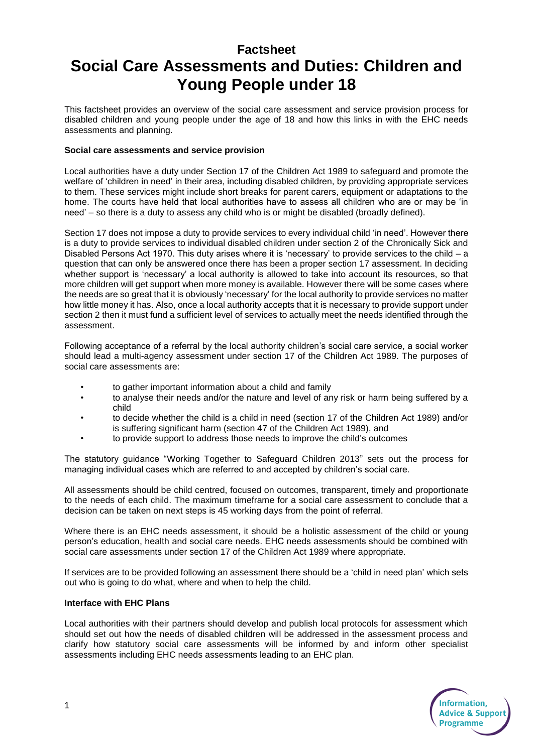## **Factsheet**

## **Social Care Assessments and Duties: Children and Young People under 18**

This factsheet provides an overview of the social care assessment and service provision process for disabled children and young people under the age of 18 and how this links in with the EHC needs assessments and planning.

## **Social care assessments and service provision**

Local authorities have a duty under Section 17 of the Children Act 1989 to safeguard and promote the welfare of 'children in need' in their area, including disabled children, by providing appropriate services to them. These services might include short breaks for parent carers, equipment or adaptations to the home. The courts have held that local authorities have to assess all children who are or may be 'in need' – so there is a duty to assess any child who is or might be disabled (broadly defined).

Section 17 does not impose a duty to provide services to every individual child 'in need'. However there is a duty to provide services to individual disabled children under section 2 of the Chronically Sick and Disabled Persons Act 1970. This duty arises where it is 'necessary' to provide services to the child – a question that can only be answered once there has been a proper section 17 assessment. In deciding whether support is 'necessary' a local authority is allowed to take into account its resources, so that more children will get support when more money is available. However there will be some cases where the needs are so great that it is obviously 'necessary' for the local authority to provide services no matter how little money it has. Also, once a local authority accepts that it is necessary to provide support under section 2 then it must fund a sufficient level of services to actually meet the needs identified through the assessment.

Following acceptance of a referral by the local authority children's social care service, a social worker should lead a multi-agency assessment under section 17 of the Children Act 1989. The purposes of social care assessments are:

- to gather important information about a child and family
- to analyse their needs and/or the nature and level of any risk or harm being suffered by a child
- to decide whether the child is a child in need (section 17 of the Children Act 1989) and/or is suffering significant harm (section 47 of the Children Act 1989), and
- to provide support to address those needs to improve the child's outcomes

The statutory guidance "Working Together to Safeguard Children 2013" sets out the process for managing individual cases which are referred to and accepted by children's social care.

All assessments should be child centred, focused on outcomes, transparent, timely and proportionate to the needs of each child. The maximum timeframe for a social care assessment to conclude that a decision can be taken on next steps is 45 working days from the point of referral.

Where there is an EHC needs assessment, it should be a holistic assessment of the child or young person's education, health and social care needs. EHC needs assessments should be combined with social care assessments under section 17 of the Children Act 1989 where appropriate.

If services are to be provided following an assessment there should be a 'child in need plan' which sets out who is going to do what, where and when to help the child.

## **Interface with EHC Plans**

Local authorities with their partners should develop and publish local protocols for assessment which should set out how the needs of disabled children will be addressed in the assessment process and clarify how statutory social care assessments will be informed by and inform other specialist assessments including EHC needs assessments leading to an EHC plan.